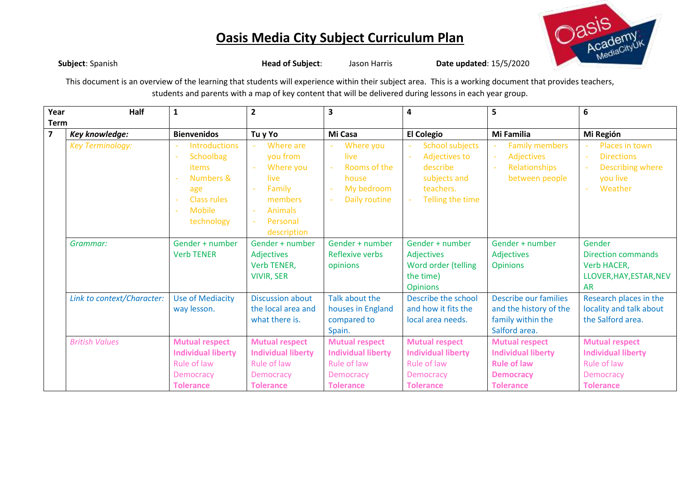

**Subject**: Spanish **Head of Subject**: Jason Harris **Date updated**: 15/5/2020 This document is an overview of the learning that students will experience within their subject area. This is a working document that provides teachers, students and parents with a map of key content that will be delivered during lessons in each year group.

| Year           | <b>Half</b>                | 1                                                                                                                                                                | $\overline{2}$                                                                                                  | 3                                                                                                  | 4                                                                                                                               | 5                                                                                                                | 6                                                                                                         |
|----------------|----------------------------|------------------------------------------------------------------------------------------------------------------------------------------------------------------|-----------------------------------------------------------------------------------------------------------------|----------------------------------------------------------------------------------------------------|---------------------------------------------------------------------------------------------------------------------------------|------------------------------------------------------------------------------------------------------------------|-----------------------------------------------------------------------------------------------------------|
| <b>Term</b>    |                            |                                                                                                                                                                  |                                                                                                                 |                                                                                                    |                                                                                                                                 |                                                                                                                  |                                                                                                           |
| $\overline{7}$ | Key knowledge:             | <b>Bienvenidos</b>                                                                                                                                               | Tu y Yo                                                                                                         | Mi Casa                                                                                            | <b>El Colegio</b>                                                                                                               | Mi Familia                                                                                                       | Mi Región                                                                                                 |
|                | <b>Key Terminology:</b>    | <b>Introductions</b><br>Schoolbag<br>$\overline{\phantom{a}}$<br><b>items</b><br>Numbers &<br>age<br><b>Class rules</b><br><b>Mobile</b><br>$\sim$<br>technology | Where are<br>you from<br>Where you<br>live<br>Family<br>members<br>Animals<br>$\sim$<br>Personal<br>description | Where you<br>live<br>Rooms of the<br>house<br>My bedroom<br>$\sim$<br>Daily routine                | <b>School subjects</b><br>$\sim$<br><b>Adjectives to</b><br>$\sim$<br>describe<br>subjects and<br>teachers.<br>Telling the time | <b>Family members</b><br>$\overline{\phantom{a}}$<br>Adjectives<br>$\omega$<br>Relationships<br>between people   | Places in town<br><b>Directions</b><br>$\sim$<br>Describing where<br>you live<br>Weather                  |
|                | Grammar:                   | Gender + number<br><b>Verb TENER</b>                                                                                                                             | Gender + number<br>Adjectives<br>Verb TENER,<br><b>VIVIR, SER</b>                                               | Gender + number<br>Reflexive verbs<br>opinions                                                     | Gender + number<br>Adjectives<br>Word order (telling<br>the time)<br><b>Opinions</b>                                            | Gender + number<br>Adjectives<br><b>Opinions</b>                                                                 | Gender<br><b>Direction commands</b><br>Verb HACER,<br>LLOVER, HAY, ESTAR, NEV<br><b>AR</b>                |
|                | Link to context/Character: | <b>Use of Mediacity</b><br>way lesson.                                                                                                                           | <b>Discussion about</b><br>the local area and<br>what there is.                                                 | Talk about the<br>houses in England<br>compared to<br>Spain.                                       | Describe the school<br>and how it fits the<br>local area needs.                                                                 | Describe our families<br>and the history of the<br>family within the<br>Salford area.                            | Research places in the<br>locality and talk about<br>the Salford area.                                    |
|                | <b>British Values</b>      | <b>Mutual respect</b><br><b>Individual liberty</b><br>Rule of law<br>Democracy<br><b>Tolerance</b>                                                               | <b>Mutual respect</b><br><b>Individual liberty</b><br>Rule of law<br>Democracy<br><b>Tolerance</b>              | <b>Mutual respect</b><br><b>Individual liberty</b><br>Rule of law<br>Democracy<br><b>Tolerance</b> | <b>Mutual respect</b><br><b>Individual liberty</b><br>Rule of law<br><b>Democracy</b><br><b>Tolerance</b>                       | <b>Mutual respect</b><br><b>Individual liberty</b><br><b>Rule of law</b><br><b>Democracy</b><br><b>Tolerance</b> | <b>Mutual respect</b><br><b>Individual liberty</b><br>Rule of law<br><b>Democracy</b><br><b>Tolerance</b> |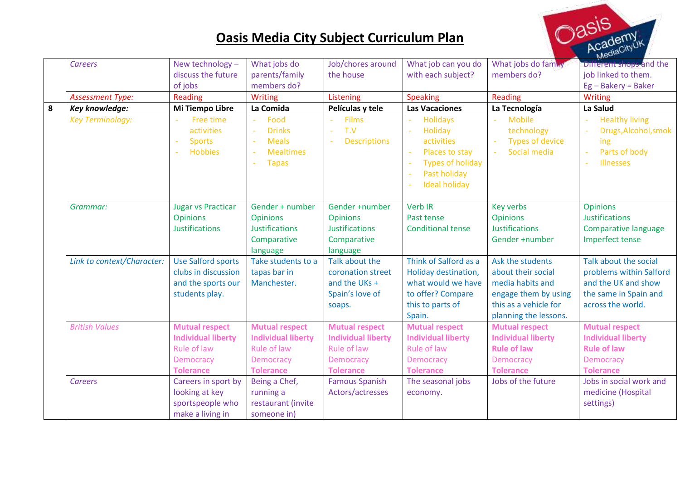

|   | <b>Careers</b>                   | New technology -                                                                                          | What jobs do                                                                                                                                                      | Job/chores around                                                                                                                  | What job can you do                                                                                                                  | What jobs do family                                                                                                                  | Different shops and the                                                                                                                     |
|---|----------------------------------|-----------------------------------------------------------------------------------------------------------|-------------------------------------------------------------------------------------------------------------------------------------------------------------------|------------------------------------------------------------------------------------------------------------------------------------|--------------------------------------------------------------------------------------------------------------------------------------|--------------------------------------------------------------------------------------------------------------------------------------|---------------------------------------------------------------------------------------------------------------------------------------------|
|   |                                  | discuss the future                                                                                        | parents/family                                                                                                                                                    | the house                                                                                                                          | with each subject?                                                                                                                   | members do?                                                                                                                          | job linked to them.                                                                                                                         |
|   |                                  | of jobs                                                                                                   | members do?                                                                                                                                                       |                                                                                                                                    |                                                                                                                                      |                                                                                                                                      | $Eg - Bakery = Baker$                                                                                                                       |
|   | <b>Assessment Type:</b>          | Reading                                                                                                   | Writing                                                                                                                                                           | Listening                                                                                                                          | <b>Speaking</b>                                                                                                                      | Reading                                                                                                                              | <b>Writing</b>                                                                                                                              |
| 8 | Key knowledge:                   | Mi Tiempo Libre                                                                                           | La Comida                                                                                                                                                         | Películas y tele                                                                                                                   | <b>Las Vacaciones</b>                                                                                                                | La Tecnología                                                                                                                        | La Salud                                                                                                                                    |
|   | <b>Key Terminology:</b>          | Free time<br>activities<br><b>Sports</b><br><b>Hobbies</b>                                                | Food<br>$\overline{\phantom{a}}$<br><b>Drinks</b><br>$\overline{\phantom{a}}$<br><b>Meals</b><br>$\sim$<br><b>Mealtimes</b><br>$\sim$<br><b>Tapas</b><br>$\omega$ | <b>Films</b><br>T.V<br>$\sim$<br><b>Descriptions</b><br>$\sim$                                                                     | <b>Holidays</b><br><b>Holiday</b><br>activities<br>Places to stay<br><b>Types of holiday</b><br>Past holiday<br><b>Ideal holiday</b> | <b>Mobile</b><br>technology<br><b>Types of device</b><br>Social media                                                                | <b>Healthy living</b><br>Drugs, Alcohol, smok<br>ing<br>Parts of body<br>÷<br><b>Illnesses</b>                                              |
|   | Grammar:                         | <b>Jugar vs Practicar</b><br><b>Opinions</b><br><b>Justifications</b>                                     | Gender + number<br><b>Opinions</b><br><b>Justifications</b><br>Comparative<br>language                                                                            | Gender +number<br><b>Opinions</b><br><b>Justifications</b><br>Comparative<br>language                                              | <b>Verb IR</b><br>Past tense<br><b>Conditional tense</b>                                                                             | <b>Key verbs</b><br><b>Opinions</b><br><b>Justifications</b><br>Gender +number                                                       | <b>Opinions</b><br><b>Justifications</b><br>Comparative language<br>Imperfect tense                                                         |
|   | Link to context/Character:       | <b>Use Salford sports</b><br>clubs in discussion<br>and the sports our<br>students play.                  | Take students to a<br>tapas bar in<br>Manchester.                                                                                                                 | Talk about the<br>coronation street<br>and the UKs +<br>Spain's love of<br>soaps.                                                  | Think of Salford as a<br>Holiday destination,<br>what would we have<br>to offer? Compare<br>this to parts of<br>Spain.               | Ask the students<br>about their social<br>media habits and<br>engage them by using<br>this as a vehicle for<br>planning the lessons. | Talk about the social<br>problems within Salford<br>and the UK and show<br>the same in Spain and<br>across the world.                       |
|   | <b>British Values</b><br>Careers | <b>Mutual respect</b><br><b>Individual liberty</b><br>Rule of law<br><b>Democracy</b><br><b>Tolerance</b> | <b>Mutual respect</b><br><b>Individual liberty</b><br>Rule of law<br>Democracy<br><b>Tolerance</b><br>Being a Chef,                                               | <b>Mutual respect</b><br><b>Individual liberty</b><br>Rule of law<br><b>Democracy</b><br><b>Tolerance</b><br><b>Famous Spanish</b> | <b>Mutual respect</b><br><b>Individual liberty</b><br>Rule of law<br><b>Democracy</b><br><b>Tolerance</b><br>The seasonal jobs       | <b>Mutual respect</b><br><b>Individual liberty</b><br><b>Rule of law</b><br>Democracy<br><b>Tolerance</b><br>Jobs of the future      | <b>Mutual respect</b><br><b>Individual liberty</b><br><b>Rule of law</b><br><b>Democracy</b><br><b>Tolerance</b><br>Jobs in social work and |
|   |                                  | Careers in sport by<br>looking at key<br>sportspeople who<br>make a living in                             | running a<br>restaurant (invite<br>someone in)                                                                                                                    | Actors/actresses                                                                                                                   | economy.                                                                                                                             |                                                                                                                                      | medicine (Hospital<br>settings)                                                                                                             |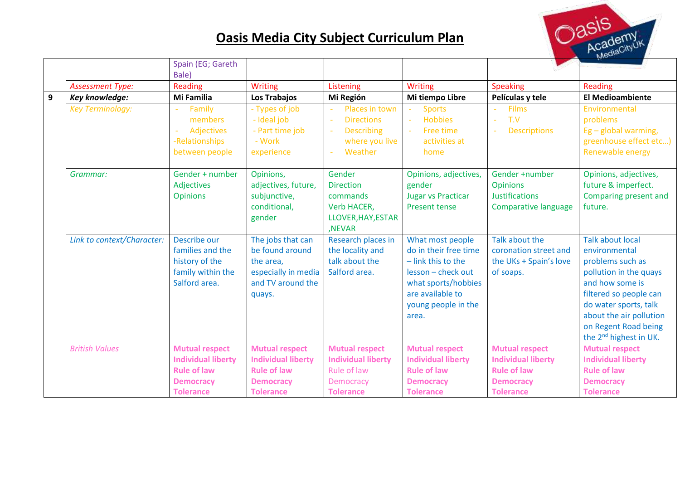

|              |                            | Spain (EG; Gareth         |                           |                             |                           |                           |                                    |
|--------------|----------------------------|---------------------------|---------------------------|-----------------------------|---------------------------|---------------------------|------------------------------------|
|              |                            | Bale)                     |                           |                             |                           |                           |                                    |
|              | <b>Assessment Type:</b>    | <b>Reading</b>            | <b>Writing</b>            | Listening                   | <b>Writing</b>            | <b>Speaking</b>           | Reading                            |
| $\mathbf{9}$ | Key knowledge:             | Mi Familia                | Los Trabajos              | Mi Región                   | Mi tiempo Libre           | Películas y tele          | <b>El Medioambiente</b>            |
|              | <b>Key Terminology:</b>    | Family<br>$\sim$          | - Types of job            | Places in town              | <b>Sports</b>             | <b>Films</b>              | Environmental                      |
|              |                            | members                   | - Ideal job               | <b>Directions</b><br>i.     | <b>Hobbies</b><br>÷.      | T.V<br>÷.                 | problems                           |
|              |                            | Adjectives<br>$\sim$      | - Part time job           | <b>Describing</b><br>$\sim$ | Free time<br>$\sim$       | <b>Descriptions</b>       | $Eg$ – global warming,             |
|              |                            | -Relationships            | - Work                    | where you live              | activities at             |                           | greenhouse effect etc)             |
|              |                            | between people            | experience                | Weather<br>$\sim$           | home                      |                           | Renewable energy                   |
|              | Grammar:                   | Gender + number           | Opinions,                 | Gender                      | Opinions, adjectives,     | Gender +number            | Opinions, adjectives,              |
|              |                            | <b>Adjectives</b>         | adjectives, future,       | <b>Direction</b>            | gender                    | <b>Opinions</b>           | future & imperfect.                |
|              |                            | <b>Opinions</b>           | subjunctive,              | commands                    | <b>Jugar vs Practicar</b> | <b>Justifications</b>     | Comparing present and              |
|              |                            |                           | conditional,              | Verb HACER,                 | <b>Present tense</b>      | Comparative language      | future.                            |
|              |                            |                           | gender                    | LLOVER, HAY, ESTAR          |                           |                           |                                    |
|              |                            |                           |                           | ,NEVAR                      |                           |                           |                                    |
|              | Link to context/Character: | Describe our              | The jobs that can         | Research places in          | What most people          | Talk about the            | <b>Talk about local</b>            |
|              |                            | families and the          | be found around           | the locality and            | do in their free time     | coronation street and     | environmental                      |
|              |                            | history of the            | the area,                 | talk about the              | $-$ link this to the      | the UKs + Spain's love    | problems such as                   |
|              |                            | family within the         | especially in media       | Salford area.               | lesson - check out        | of soaps.                 | pollution in the quays             |
|              |                            | Salford area.             | and TV around the         |                             | what sports/hobbies       |                           | and how some is                    |
|              |                            |                           | quays.                    |                             | are available to          |                           | filtered so people can             |
|              |                            |                           |                           |                             | young people in the       |                           | do water sports, talk              |
|              |                            |                           |                           |                             | area.                     |                           | about the air pollution            |
|              |                            |                           |                           |                             |                           |                           | on Regent Road being               |
|              |                            |                           |                           |                             |                           |                           | the 2 <sup>nd</sup> highest in UK. |
|              | <b>British Values</b>      | <b>Mutual respect</b>     | <b>Mutual respect</b>     | <b>Mutual respect</b>       | <b>Mutual respect</b>     | <b>Mutual respect</b>     | <b>Mutual respect</b>              |
|              |                            | <b>Individual liberty</b> | <b>Individual liberty</b> | <b>Individual liberty</b>   | <b>Individual liberty</b> | <b>Individual liberty</b> | <b>Individual liberty</b>          |
|              |                            | <b>Rule of law</b>        | <b>Rule of law</b>        | Rule of law                 | <b>Rule of law</b>        | <b>Rule of law</b>        | <b>Rule of law</b>                 |
|              |                            | <b>Democracy</b>          | <b>Democracy</b>          | <b>Democracy</b>            | <b>Democracy</b>          | <b>Democracy</b>          | <b>Democracy</b>                   |
|              |                            | <b>Tolerance</b>          | <b>Tolerance</b>          | <b>Tolerance</b>            | <b>Tolerance</b>          | <b>Tolerance</b>          | <b>Tolerance</b>                   |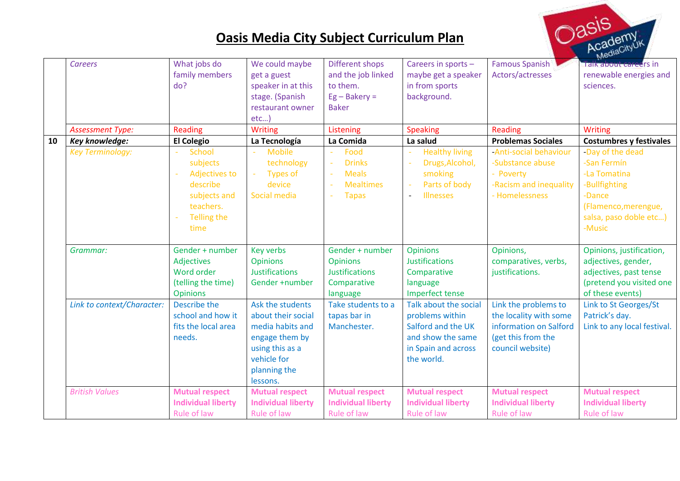

|    | <b>Careers</b>             | What jobs do<br>family members | We could maybe                           | Different shops                          | Careers in sports -                          | <b>Famous Spanish</b><br>Actors/actresses | Talk about careers in                              |
|----|----------------------------|--------------------------------|------------------------------------------|------------------------------------------|----------------------------------------------|-------------------------------------------|----------------------------------------------------|
|    |                            | do?                            | get a guest<br>speaker in at this        | and the job linked<br>to them.           | maybe get a speaker<br>in from sports        |                                           | renewable energies and<br>sciences.                |
|    |                            |                                | stage. (Spanish                          | $Eg - Bakery =$                          | background.                                  |                                           |                                                    |
|    |                            |                                | restaurant owner                         | <b>Baker</b>                             |                                              |                                           |                                                    |
|    |                            |                                | etc                                      |                                          |                                              |                                           |                                                    |
|    | <b>Assessment Type:</b>    | Reading                        | <b>Writing</b>                           | Listening                                | <b>Speaking</b>                              | Reading                                   | Writing                                            |
| 10 | Key knowledge:             | <b>El Colegio</b>              | La Tecnología                            | La Comida                                | La salud                                     | <b>Problemas Sociales</b>                 | <b>Costumbres y festivales</b>                     |
|    | <b>Key Terminology:</b>    | <b>School</b>                  | <b>Mobile</b>                            | Food                                     | <b>Healthy living</b>                        | -Anti-social behaviour                    | -Day of the dead                                   |
|    |                            | subjects                       | technology                               | <b>Drinks</b>                            | Drugs, Alcohol,                              | -Substance abuse                          | -San Fermín                                        |
|    |                            | <b>Adjectives to</b>           | <b>Types of</b><br>$\sim$                | <b>Meals</b>                             | smoking                                      | - Poverty                                 | -La Tomatina                                       |
|    |                            | describe                       | device                                   | <b>Mealtimes</b>                         | Parts of body                                | -Racism and inequality                    | -Bullfighting                                      |
|    |                            | subjects and                   | Social media                             | <b>Tapas</b>                             | <b>Illnesses</b><br>$\overline{\phantom{a}}$ | - Homelessness                            | -Dance                                             |
|    |                            | teachers.                      |                                          |                                          |                                              |                                           | (Flamenco, merengue,                               |
|    |                            | Telling the                    |                                          |                                          |                                              |                                           | salsa, paso doble etc)                             |
|    |                            | time                           |                                          |                                          |                                              |                                           | -Music                                             |
|    |                            |                                |                                          |                                          |                                              |                                           |                                                    |
|    | Grammar:                   | Gender + number                | Key verbs                                | Gender + number                          | <b>Opinions</b>                              | Opinions,                                 | Opinions, justification,                           |
|    |                            | Adjectives<br>Word order       | <b>Opinions</b><br><b>Justifications</b> | <b>Opinions</b><br><b>Justifications</b> | <b>Justifications</b>                        | comparatives, verbs,                      | adjectives, gender,                                |
|    |                            | (telling the time)             | Gender +number                           | Comparative                              | Comparative                                  | justifications.                           | adjectives, past tense<br>(pretend you visited one |
|    |                            | <b>Opinions</b>                |                                          | language                                 | language<br>Imperfect tense                  |                                           | of these events)                                   |
|    | Link to context/Character: | Describe the                   | Ask the students                         | Take students to a                       | Talk about the social                        | Link the problems to                      | Link to St Georges/St                              |
|    |                            | school and how it              | about their social                       | tapas bar in                             | problems within                              | the locality with some                    | Patrick's day.                                     |
|    |                            | fits the local area            | media habits and                         | Manchester.                              | Salford and the UK                           | information on Salford                    | Link to any local festival.                        |
|    |                            | needs.                         | engage them by                           |                                          | and show the same                            | (get this from the                        |                                                    |
|    |                            |                                | using this as a                          |                                          | in Spain and across                          | council website)                          |                                                    |
|    |                            |                                | vehicle for                              |                                          | the world.                                   |                                           |                                                    |
|    |                            |                                | planning the                             |                                          |                                              |                                           |                                                    |
|    |                            |                                | lessons.                                 |                                          |                                              |                                           |                                                    |
|    | <b>British Values</b>      | <b>Mutual respect</b>          | <b>Mutual respect</b>                    | <b>Mutual respect</b>                    | <b>Mutual respect</b>                        | <b>Mutual respect</b>                     | <b>Mutual respect</b>                              |
|    |                            | <b>Individual liberty</b>      | <b>Individual liberty</b>                | <b>Individual liberty</b>                | <b>Individual liberty</b>                    | <b>Individual liberty</b>                 | <b>Individual liberty</b>                          |
|    |                            | Rule of law                    | Rule of law                              | Rule of law                              | Rule of law                                  | Rule of law                               | Rule of law                                        |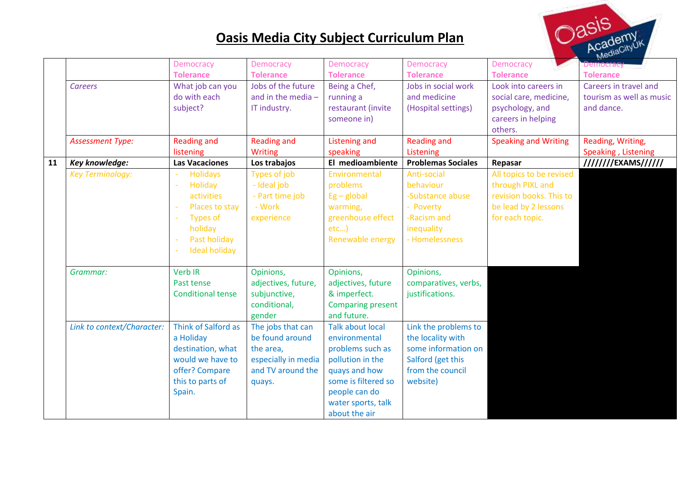

|    |                            | <b>Democracy</b>           | <b>Democracy</b>    | <b>Democracy</b>         | <b>Democracy</b>          | <b>Democracy</b>            | <b>Democracy</b>         |
|----|----------------------------|----------------------------|---------------------|--------------------------|---------------------------|-----------------------------|--------------------------|
|    |                            | <b>Tolerance</b>           | <b>Tolerance</b>    | <b>Tolerance</b>         | <b>Tolerance</b>          | <b>Tolerance</b>            | <b>Tolerance</b>         |
|    | <b>Careers</b>             | What job can you           | Jobs of the future  | Being a Chef,            | Jobs in social work       | Look into careers in        | Careers in travel and    |
|    |                            | do with each               | and in the media -  | running a                | and medicine              | social care, medicine,      | tourism as well as music |
|    |                            | subject?                   | IT industry.        | restaurant (invite       | (Hospital settings)       | psychology, and             | and dance.               |
|    |                            |                            |                     | someone in)              |                           | careers in helping          |                          |
|    |                            |                            |                     |                          |                           | others.                     |                          |
|    | <b>Assessment Type:</b>    | <b>Reading and</b>         | <b>Reading and</b>  | Listening and            | <b>Reading and</b>        | <b>Speaking and Writing</b> | Reading, Writing,        |
|    |                            | listening                  | <b>Writing</b>      | speaking                 | Listening                 |                             | Speaking, Listening      |
| 11 | Key knowledge:             | <b>Las Vacaciones</b>      | Los trabajos        | El medioambiente         | <b>Problemas Sociales</b> | Repasar                     | ////////EXAMS//////      |
|    | <b>Key Terminology:</b>    | <b>Holidays</b>            | Types of job        | Environmental            | Anti-social               | All topics to be revised    |                          |
|    |                            | Holiday<br>$\sim$          | - Ideal job         | problems                 | behaviour                 | through PIXL and            |                          |
|    |                            | activities                 | - Part time job     | $Eg - global$            | -Substance abuse          | revision books. This to     |                          |
|    |                            | Places to stay             | - Work              | warming,                 | - Poverty                 | be lead by 2 lessons        |                          |
|    |                            | <b>Types of</b>            | experience          | greenhouse effect        | -Racism and               | for each topic.             |                          |
|    |                            | holiday                    |                     | etc                      | inequality                |                             |                          |
|    |                            | Past holiday               |                     | Renewable energy         | - Homelessness            |                             |                          |
|    |                            | <b>Ideal holiday</b><br>÷, |                     |                          |                           |                             |                          |
|    |                            |                            |                     |                          |                           |                             |                          |
|    | Grammar:                   | <b>Verb IR</b>             | Opinions,           | Opinions,                | Opinions,                 |                             |                          |
|    |                            | Past tense                 | adjectives, future, | adjectives, future       | comparatives, verbs,      |                             |                          |
|    |                            | <b>Conditional tense</b>   | subjunctive,        | & imperfect.             | justifications.           |                             |                          |
|    |                            |                            | conditional,        | <b>Comparing present</b> |                           |                             |                          |
|    |                            |                            | gender              | and future.              |                           |                             |                          |
|    | Link to context/Character: | Think of Salford as        | The jobs that can   | <b>Talk about local</b>  | Link the problems to      |                             |                          |
|    |                            | a Holiday                  | be found around     | environmental            | the locality with         |                             |                          |
|    |                            | destination, what          | the area,           | problems such as         | some information on       |                             |                          |
|    |                            | would we have to           | especially in media | pollution in the         | Salford (get this         |                             |                          |
|    |                            | offer? Compare             | and TV around the   | quays and how            | from the council          |                             |                          |
|    |                            | this to parts of           | quays.              | some is filtered so      | website)                  |                             |                          |
|    |                            | Spain.                     |                     | people can do            |                           |                             |                          |
|    |                            |                            |                     | water sports, talk       |                           |                             |                          |
|    |                            |                            |                     | about the air            |                           |                             |                          |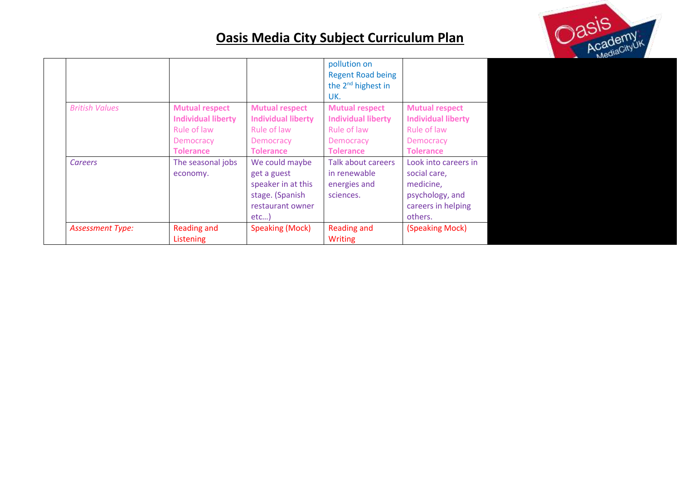

|                         |                                                                                                    |                                                                                                    | pollution on<br><b>Regent Road being</b>                                                           |                                                                                                       |
|-------------------------|----------------------------------------------------------------------------------------------------|----------------------------------------------------------------------------------------------------|----------------------------------------------------------------------------------------------------|-------------------------------------------------------------------------------------------------------|
|                         |                                                                                                    |                                                                                                    | the $2^{nd}$ highest in<br>UK.                                                                     |                                                                                                       |
| <b>British Values</b>   | <b>Mutual respect</b><br><b>Individual liberty</b><br>Rule of law<br>Democracy<br><b>Tolerance</b> | <b>Mutual respect</b><br><b>Individual liberty</b><br>Rule of law<br>Democracy<br><b>Tolerance</b> | <b>Mutual respect</b><br><b>Individual liberty</b><br>Rule of law<br>Democracy<br><b>Tolerance</b> | <b>Mutual respect</b><br><b>Individual liberty</b><br>Rule of law<br>Democracy<br><b>Tolerance</b>    |
| Careers                 | The seasonal jobs<br>economy.                                                                      | We could maybe<br>get a guest<br>speaker in at this<br>stage. (Spanish<br>restaurant owner<br>etc  | Talk about careers<br>in renewable<br>energies and<br>sciences.                                    | Look into careers in<br>social care,<br>medicine,<br>psychology, and<br>careers in helping<br>others. |
| <b>Assessment Type:</b> | Reading and<br>Listening                                                                           | <b>Speaking (Mock)</b>                                                                             | <b>Reading and</b><br><b>Writing</b>                                                               | (Speaking Mock)                                                                                       |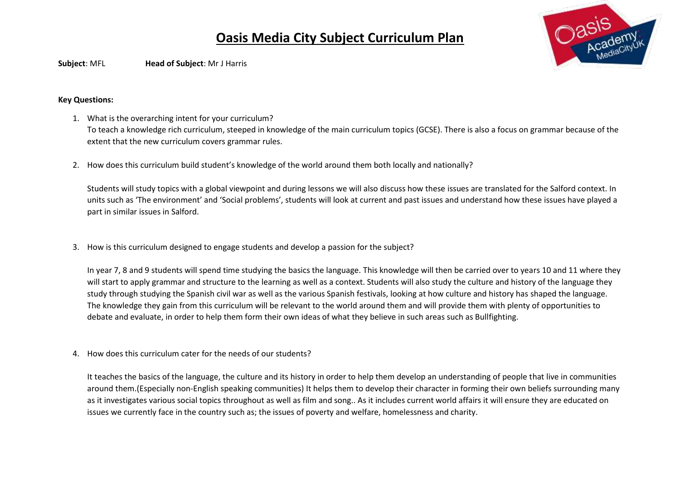

**Subject**: MFL **Head of Subject**: Mr J Harris

#### **Key Questions:**

- 1. What is the overarching intent for your curriculum? To teach a knowledge rich curriculum, steeped in knowledge of the main curriculum topics (GCSE). There is also a focus on grammar because of the extent that the new curriculum covers grammar rules.
- 2. How does this curriculum build student's knowledge of the world around them both locally and nationally?

Students will study topics with a global viewpoint and during lessons we will also discuss how these issues are translated for the Salford context. In units such as 'The environment' and 'Social problems', students will look at current and past issues and understand how these issues have played a part in similar issues in Salford.

3. How is this curriculum designed to engage students and develop a passion for the subject?

In year 7, 8 and 9 students will spend time studying the basics the language. This knowledge will then be carried over to years 10 and 11 where they will start to apply grammar and structure to the learning as well as a context. Students will also study the culture and history of the language they study through studying the Spanish civil war as well as the various Spanish festivals, looking at how culture and history has shaped the language. The knowledge they gain from this curriculum will be relevant to the world around them and will provide them with plenty of opportunities to debate and evaluate, in order to help them form their own ideas of what they believe in such areas such as Bullfighting.

4. How does this curriculum cater for the needs of our students?

It teaches the basics of the language, the culture and its history in order to help them develop an understanding of people that live in communities around them.(Especially non-English speaking communities) It helps them to develop their character in forming their own beliefs surrounding many as it investigates various social topics throughout as well as film and song.. As it includes current world affairs it will ensure they are educated on issues we currently face in the country such as; the issues of poverty and welfare, homelessness and charity.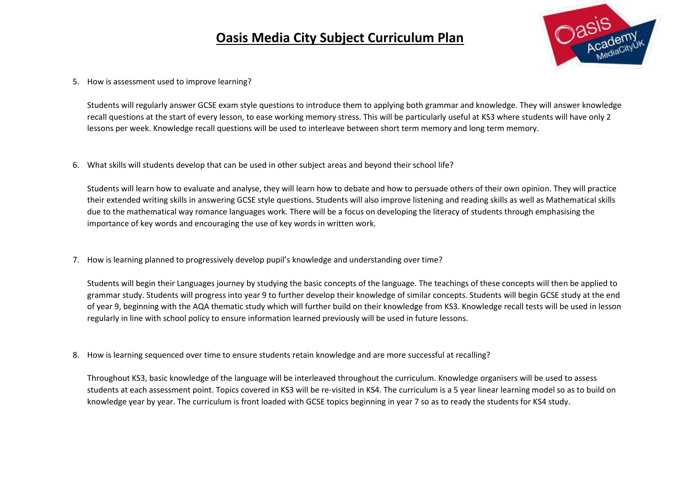

5. How is assessment used to improve learning?

Students will regularly answer GCSE exam style questions to introduce them to applying both grammar and knowledge. They will answer knowledge recall questions at the start of every lesson, to ease working memory stress. This will be particularly useful at KS3 where students will have only 2 lessons per week. Knowledge recall questions will be used to interleave between short term memory and long term memory.

6. What skills will students develop that can be used in other subject areas and beyond their school life?

Students will learn how to evaluate and analyse, they will learn how to debate and how to persuade others of their own opinion. They will practice their extended writing skills in answering GCSE style questions. Students will also improve listening and reading skills as well as Mathematical skills due to the mathematical way romance languages work. There will be a focus on developing the literacy of students through emphasising the importance of key words and encouraging the use of key words in written work.

7. How is learning planned to progressively develop pupil's knowledge and understanding over time?

Students will begin their Languages journey by studying the basic concepts of the language. The teachings of these concepts will then be applied to grammar study. Students will progress into year 9 to further develop their knowledge of similar concepts. Students will begin GCSE study at the end of year 9, beginning with the AQA thematic study which will further build on their knowledge from KS3. Knowledge recall tests will be used in lesson regularly in line with school policy to ensure information learned previously will be used in future lessons.

8. How is learning sequenced over time to ensure students retain knowledge and are more successful at recalling?

Throughout KS3, basic knowledge of the language will be interleaved throughout the curriculum. Knowledge organisers will be used to assess students at each assessment point. Topics covered in KS3 will be re-visited in KS4. The curriculum is a 5 year linear learning model so as to build on knowledge year by year. The curriculum is front loaded with GCSE topics beginning in year 7 so as to ready the students for KS4 study.